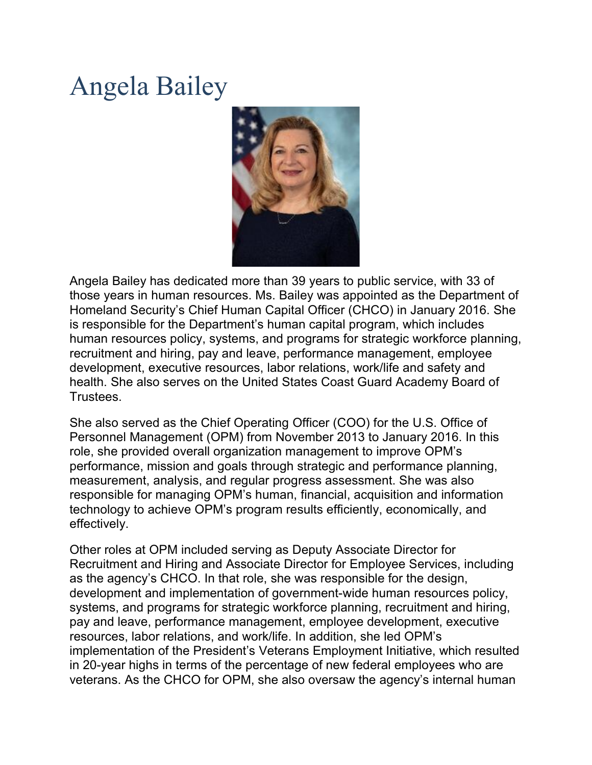## Angela Bailey



Angela Bailey has dedicated more than 39 years to public service, with 33 of those years in human resources. Ms. Bailey was appointed as the Department of Homeland Security's Chief Human Capital Officer (CHCO) in January 2016. She is responsible for the Department's human capital program, which includes human resources policy, systems, and programs for strategic workforce planning, recruitment and hiring, pay and leave, performance management, employee development, executive resources, labor relations, work/life and safety and health. She also serves on the United States Coast Guard Academy Board of Trustees.

She also served as the Chief Operating Officer (COO) for the U.S. Office of Personnel Management (OPM) from November 2013 to January 2016. In this role, she provided overall organization management to improve OPM's performance, mission and goals through strategic and performance planning, measurement, analysis, and regular progress assessment. She was also responsible for managing OPM's human, financial, acquisition and information technology to achieve OPM's program results efficiently, economically, and effectively.

Other roles at OPM included serving as Deputy Associate Director for Recruitment and Hiring and Associate Director for Employee Services, including as the agency's CHCO. In that role, she was responsible for the design, development and implementation of government-wide human resources policy, systems, and programs for strategic workforce planning, recruitment and hiring, pay and leave, performance management, employee development, executive resources, labor relations, and work/life. In addition, she led OPM's implementation of the President's Veterans Employment Initiative, which resulted in 20-year highs in terms of the percentage of new federal employees who are veterans. As the CHCO for OPM, she also oversaw the agency's internal human